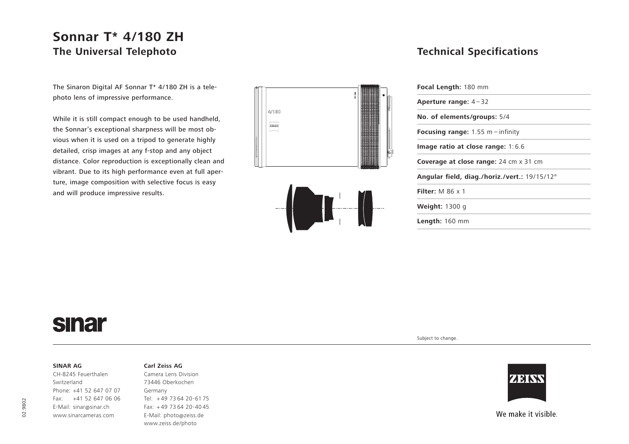## **Sonnar T\* 4/180 ZH The Universal Telephoto**

The Sinaron Digital AF Sonnar T\* 4/180 ZH is a telephoto lens of impressive performance.

While it is still compact enough to be used handheld, the Sonnar's exceptional sharpness will be most obvious when it is used on a tripod to generate highly detailed, crisp images at any f-stop and any object distance. Color reproduction is exceptionally clean and vibrant. Due to its high performance even at full aperture, image composition with selective focus is easy and will produce impressive results.





### **Technical Specifications**

| Focal Length: 180 mm                          |  |
|-----------------------------------------------|--|
| Aperture range: $4-32$                        |  |
| No. of elements/groups: 5/4                   |  |
| <b>Focusing range:</b> 1.55 m $-$ infinity    |  |
| Image ratio at close range: $1:6.6$           |  |
| <b>Coverage at close range:</b> 24 cm x 31 cm |  |
| Angular field, diag./horiz./vert.: 19/15/12°  |  |
| Filter: $M$ 86 $\times$ 1                     |  |
| <b>Weight: 1300 g</b>                         |  |
| <b>Length:</b> $160$ mm                       |  |
|                                               |  |

# **sinar**

#### **SINAR AG**

CH-8245 Feuerthalen Switzerland Phone: +41 52 647 07 07 Fax: +41 52 647 06 06 E-Mail: sinar@sinar.ch www.sinarcameras.com

#### **Carl Zeiss AG**

Camera Lens Division 73446 Oberkochen Germany Tel: <sup>+</sup> 49 73 64 20-61 75 Fax: + 49 73 64 20-40 45 E-Mail: photo@zeiss.de www.zeiss.de/photo

Subject to change.



We make it visible.